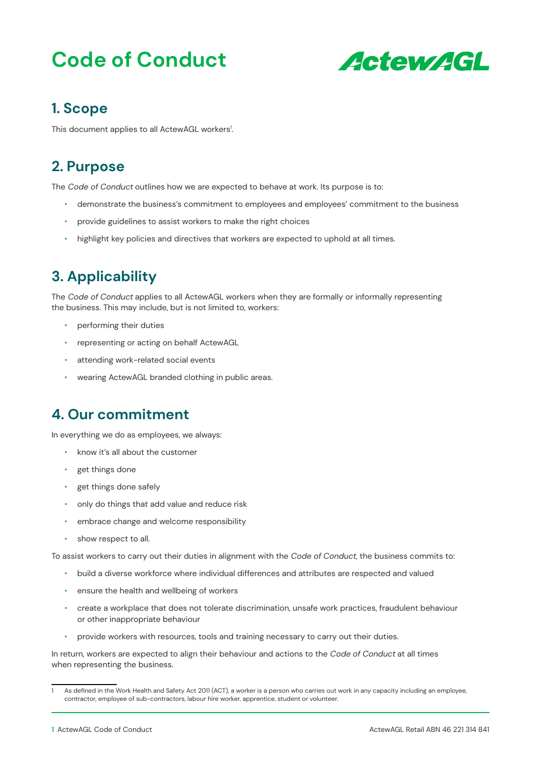# **Code of Conduct**



### **1. Scope**

This document applies to all ActewAGL workers<sup>1</sup>. .

### **2. Purpose**

The Code of Conduct outlines how we are expected to behave at work. Its purpose is to:

- demonstrate the business's commitment to employees and employees' commitment to the business
- provide guidelines to assist workers to make the right choices
- highlight key policies and directives that workers are expected to uphold at all times.

# **3. Applicability**

The Code of Conduct applies to all ActewAGL workers when they are formally or informally representing the business. This may include, but is not limited to, workers:

- performing their duties
- representing or acting on behalf ActewAGL
- attending work-related social events
- wearing ActewAGL branded clothing in public areas.

### **4. Our commitment**

In everything we do as employees, we always:

- know it's all about the customer
- get things done
- get things done safely
- only do things that add value and reduce risk
- embrace change and welcome responsibility
- show respect to all.

To assist workers to carry out their duties in alignment with the Code of Conduct, the business commits to:

- build a diverse workforce where individual differences and attributes are respected and valued
- ensure the health and wellbeing of workers
- create a workplace that does not tolerate discrimination, unsafe work practices, fraudulent behaviour or other inappropriate behaviour
- provide workers with resources, tools and training necessary to carry out their duties.

In return, workers are expected to align their behaviour and actions to the Code of Conduct at all times when representing the business.

As defined in the Work Health and Safety Act 2011 (ACT), a worker is a person who carries out work in any capacity including an employee, contractor, employee of sub-contractors, labour hire worker, apprentice, student or volunteer.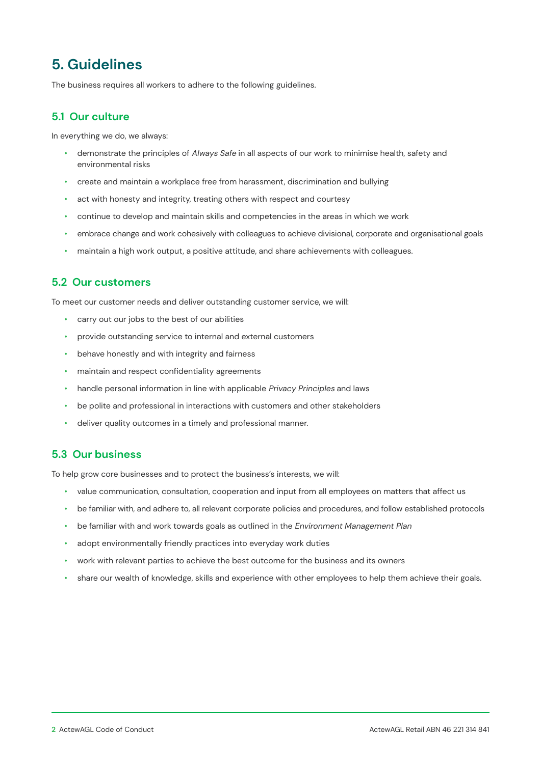# **5. Guidelines**

The business requires all workers to adhere to the following guidelines.

#### **5.1 Our culture**

In everything we do, we always:

- demonstrate the principles of Always Safe in all aspects of our work to minimise health, safety and environmental risks
- create and maintain a workplace free from harassment, discrimination and bullying
- act with honesty and integrity, treating others with respect and courtesy
- continue to develop and maintain skills and competencies in the areas in which we work
- embrace change and work cohesively with colleagues to achieve divisional, corporate and organisational goals
- maintain a high work output, a positive attitude, and share achievements with colleagues.

#### **5.2 Our customers**

To meet our customer needs and deliver outstanding customer service, we will:

- carry out our jobs to the best of our abilities
- provide outstanding service to internal and external customers
- behave honestly and with integrity and fairness
- maintain and respect confidentiality agreements
- handle personal information in line with applicable Privacy Principles and laws
- be polite and professional in interactions with customers and other stakeholders
- deliver quality outcomes in a timely and professional manner.

#### **5.3 Our business**

To help grow core businesses and to protect the business's interests, we will:

- value communication, consultation, cooperation and input from all employees on matters that affect us
- be familiar with, and adhere to, all relevant corporate policies and procedures, and follow established protocols
- be familiar with and work towards goals as outlined in the Environment Management Plan
- adopt environmentally friendly practices into everyday work duties
- work with relevant parties to achieve the best outcome for the business and its owners
- share our wealth of knowledge, skills and experience with other employees to help them achieve their goals.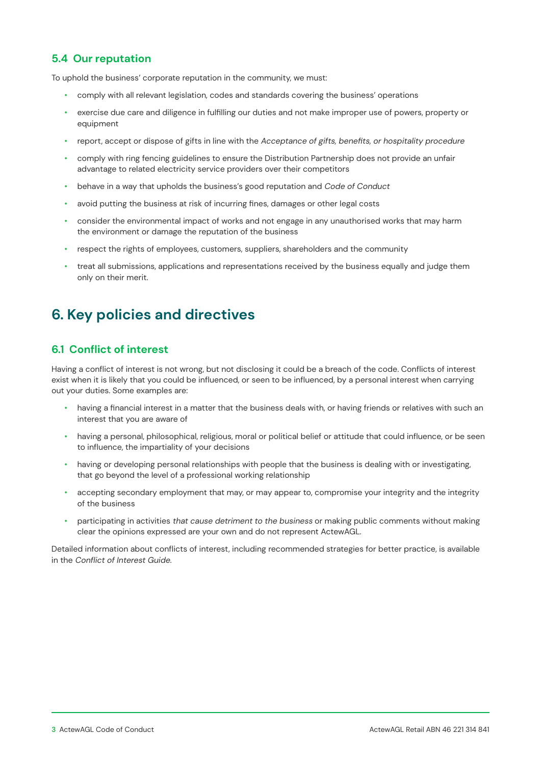#### **5.4 Our reputation**

To uphold the business' corporate reputation in the community, we must:

- comply with all relevant legislation, codes and standards covering the business' operations
- exercise due care and diligence in fulfilling our duties and not make improper use of powers, property or equipment
- report, accept or dispose of gifts in line with the Acceptance of gifts, benefits, or hospitality procedure
- comply with ring fencing guidelines to ensure the Distribution Partnership does not provide an unfair advantage to related electricity service providers over their competitors
- behave in a way that upholds the business's good reputation and Code of Conduct
- avoid putting the business at risk of incurring fines, damages or other legal costs
- consider the environmental impact of works and not engage in any unauthorised works that may harm the environment or damage the reputation of the business
- respect the rights of employees, customers, suppliers, shareholders and the community
- treat all submissions, applications and representations received by the business equally and judge them only on their merit.

### **6. Key policies and directives**

#### **6.1 Conflict of interest**

Having a conflict of interest is not wrong, but not disclosing it could be a breach of the code. Conflicts of interest exist when it is likely that you could be influenced, or seen to be influenced, by a personal interest when carrying out your duties. Some examples are:

- having a financial interest in a matter that the business deals with, or having friends or relatives with such an interest that you are aware of
- having a personal, philosophical, religious, moral or political belief or attitude that could influence, or be seen to influence, the impartiality of your decisions
- having or developing personal relationships with people that the business is dealing with or investigating, that go beyond the level of a professional working relationship
- accepting secondary employment that may, or may appear to, compromise your integrity and the integrity of the business
- participating in activities that cause detriment to the business or making public comments without making clear the opinions expressed are your own and do not represent ActewAGL.

Detailed information about conflicts of interest, including recommended strategies for better practice, is available in the Conflict of Interest Guide.